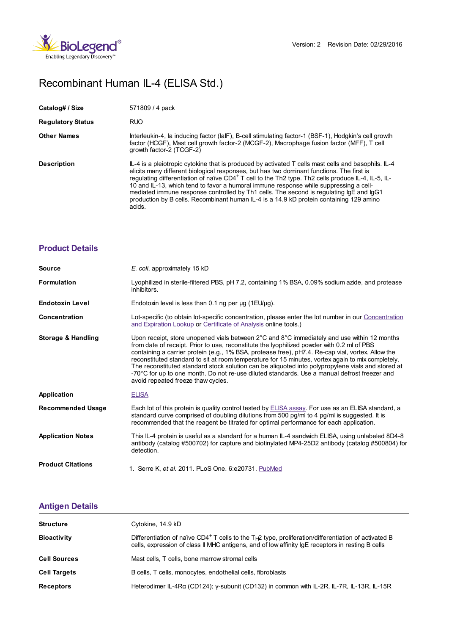

## Recombinant Human IL-4 (ELISA Std.)

| Catalog# / Size          | 571809 / 4 pack                                                                                                                                                                                                                                                                                                                                                                                                                                                                                                                                                                                             |
|--------------------------|-------------------------------------------------------------------------------------------------------------------------------------------------------------------------------------------------------------------------------------------------------------------------------------------------------------------------------------------------------------------------------------------------------------------------------------------------------------------------------------------------------------------------------------------------------------------------------------------------------------|
| <b>Regulatory Status</b> | <b>RUO</b>                                                                                                                                                                                                                                                                                                                                                                                                                                                                                                                                                                                                  |
| <b>Other Names</b>       | Interleukin-4, la inducing factor (laIF), B-cell stimulating factor-1 (BSF-1), Hodgkin's cell growth<br>factor (HCGF), Mast cell growth factor-2 (MCGF-2), Macrophage fusion factor (MFF), T cell<br>arowth factor-2 (TCGF-2)                                                                                                                                                                                                                                                                                                                                                                               |
| <b>Description</b>       | IL-4 is a pleiotropic cytokine that is produced by activated T cells mast cells and basophils. IL-4<br>elicits many different biological responses, but has two dominant functions. The first is<br>regulating differentiation of naïve CD4 <sup>+</sup> T cell to the Th2 type. Th2 cells produce IL-4, IL-5, IL-<br>10 and IL-13, which tend to favor a humoral immune response while suppressing a cell-<br>mediated immune response controlled by Th1 cells. The second is regulating IgE and IgG1<br>production by B cells. Recombinant human IL-4 is a 14.9 kD protein containing 129 amino<br>acids. |

## **[Product](https://production-dynamicweb.biolegend.com/it-it/products/recombinant-human-il-4-elisa-std-6418?pdf=true&displayInline=true&leftRightMargin=15&topBottomMargin=15&filename=Recombinant Human IL-4 (ELISA Std.).pdf#productDetails) Details**

| <b>Source</b>                 | E. coli, approximately 15 kD                                                                                                                                                                                                                                                                                                                                                                                                                                                                                                                                                                                                                   |
|-------------------------------|------------------------------------------------------------------------------------------------------------------------------------------------------------------------------------------------------------------------------------------------------------------------------------------------------------------------------------------------------------------------------------------------------------------------------------------------------------------------------------------------------------------------------------------------------------------------------------------------------------------------------------------------|
| <b>Formulation</b>            | Lyophilized in sterile-filtered PBS, pH 7.2, containing 1% BSA, 0.09% sodium azide, and protease<br>inhibitors.                                                                                                                                                                                                                                                                                                                                                                                                                                                                                                                                |
| <b>Endotoxin Level</b>        | Endotoxin level is less than 0.1 ng per µg (1EU/µg).                                                                                                                                                                                                                                                                                                                                                                                                                                                                                                                                                                                           |
| Concentration                 | Lot-specific (to obtain lot-specific concentration, please enter the lot number in our Concentration<br>and Expiration Lookup or Certificate of Analysis online tools.)                                                                                                                                                                                                                                                                                                                                                                                                                                                                        |
| <b>Storage &amp; Handling</b> | Upon receipt, store unopened vials between 2°C and 8°C immediately and use within 12 months<br>from date of receipt. Prior to use, reconstitute the lyophilized powder with 0.2 ml of PBS<br>containing a carrier protein (e.g., 1% BSA, protease free), pH7.4. Re-cap vial, vortex. Allow the<br>reconstituted standard to sit at room temperature for 15 minutes, vortex again to mix completely.<br>The reconstituted standard stock solution can be aliquoted into polypropylene vials and stored at<br>-70°C for up to one month. Do not re-use diluted standards. Use a manual defrost freezer and<br>avoid repeated freeze thaw cycles. |
| Application                   | <b>ELISA</b>                                                                                                                                                                                                                                                                                                                                                                                                                                                                                                                                                                                                                                   |
| <b>Recommended Usage</b>      | Each lot of this protein is quality control tested by ELISA assay. For use as an ELISA standard, a<br>standard curve comprised of doubling dilutions from 500 pg/ml to 4 pg/ml is suggested. It is<br>recommended that the reagent be titrated for optimal performance for each application.                                                                                                                                                                                                                                                                                                                                                   |
| <b>Application Notes</b>      | This IL-4 protein is useful as a standard for a human IL-4 sandwich ELISA, using unlabeled 8D4-8<br>antibody (catalog #500702) for capture and biotinylated MP4-25D2 antibody (catalog #500804) for<br>detection.                                                                                                                                                                                                                                                                                                                                                                                                                              |
| <b>Product Citations</b>      | 1. Serre K, et al. 2011. PLoS One. 6:e20731. PubMed                                                                                                                                                                                                                                                                                                                                                                                                                                                                                                                                                                                            |

## **[Antigen](https://production-dynamicweb.biolegend.com/it-it/products/recombinant-human-il-4-elisa-std-6418?pdf=true&displayInline=true&leftRightMargin=15&topBottomMargin=15&filename=Recombinant Human IL-4 (ELISA Std.).pdf#antigenDetails) Details**

| <b>Structure</b>    | Cytokine, 14.9 kD                                                                                                                                                                                                                |
|---------------------|----------------------------------------------------------------------------------------------------------------------------------------------------------------------------------------------------------------------------------|
| <b>Bioactivity</b>  | Differentiation of naïve CD4 <sup>+</sup> T cells to the T <sub>H</sub> Q type, proliferation/differentiation of activated B<br>cells, expression of class II MHC antigens, and of low affinity IgE receptors in resting B cells |
| <b>Cell Sources</b> | Mast cells, T cells, bone marrow stromal cells                                                                                                                                                                                   |
| <b>Cell Targets</b> | B cells, T cells, monocytes, endothelial cells, fibroblasts                                                                                                                                                                      |
| <b>Receptors</b>    | Heterodimer IL-4R $\alpha$ (CD124); y-subunit (CD132) in common with IL-2R, IL-7R, IL-13R, IL-15R                                                                                                                                |